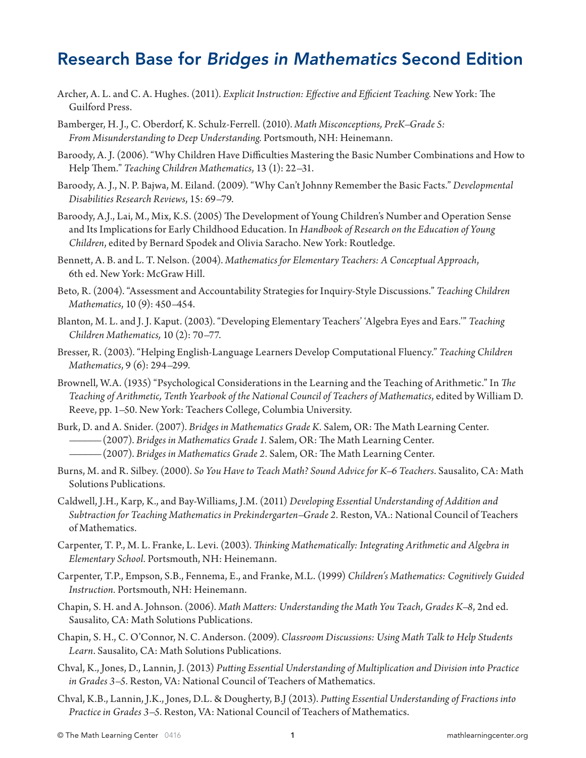## Research Base for *Bridges in Mathematics* Second Edition

- Archer, A. L. and C. A. Hughes. (2011). *Explicit Instruction: Effective and Efficient Teaching.* New York: The Guilford Press.
- Bamberger, H. J., C. Oberdorf, K. Schulz-Ferrell. (2010). *Math Misconceptions, PreK–Grade 5: From Misunderstanding to Deep Understanding.* Portsmouth, NH: Heinemann.
- Baroody, A. J. (2006). "Why Children Have Difficulties Mastering the Basic Number Combinations and How to Help Them." *Teaching Children Mathematics*, 13 (1): 22–31.
- Baroody, A. J., N. P. Bajwa, M. Eiland. (2009). "Why Can't Johnny Remember the Basic Facts." *Developmental Disabilities Research Reviews*, 15: 69–79.
- Baroody, A.J., Lai, M., Mix, K.S. (2005) The Development of Young Children's Number and Operation Sense and Its Implications for Early Childhood Education. In *Handbook of Research on the Education of Young Children*, edited by Bernard Spodek and Olivia Saracho. New York: Routledge.
- Bennett, A. B. and L. T. Nelson. (2004). *Mathematics for Elementary Teachers: A Conceptual Approach*, 6th ed. New York: McGraw Hill.
- Beto, R. (2004). "Assessment and Accountability Strategies for Inquiry-Style Discussions." *Teaching Children Mathematics*, 10 (9): 450–454.
- Blanton, M. L. and J. J. Kaput. (2003). "Developing Elementary Teachers' 'Algebra Eyes and Ears.'" *Teaching Children Mathematics,* 10 (2): 70–77.
- Bresser, R. (2003). "Helping English-Language Learners Develop Computational Fluency." *Teaching Children Mathematics*, 9 (6): 294–299.
- Brownell, W.A. (1935) "Psychological Considerations in the Learning and the Teaching of Arithmetic." In *The Teaching of Arithmetic, Tenth Yearbook of the National Council of Teachers of Mathematics*, edited by William D. Reeve, pp. 1–50. New York: Teachers College, Columbia University.
- Burk, D. and A. Snider. (2007). *Bridges in Mathematics Grade K.* Salem, OR: The Math Learning Center. –––––– (2007). *Bridges in Mathematics Grade 1.* Salem, OR: The Math Learning Center.
	- –––––– (2007). *Bridges in Mathematics Grade 2.* Salem, OR: The Math Learning Center.
- Burns, M. and R. Silbey. (2000). *So You Have to Teach Math? Sound Advice for K–6 Teachers*. Sausalito, CA: Math Solutions Publications.
- Caldwell, J.H., Karp, K., and Bay-Williams, J.M. (2011) *Developing Essential Understanding of Addition and Subtraction for Teaching Mathematics in Prekindergarten–Grade 2.* Reston, VA.: National Council of Teachers of Mathematics.
- Carpenter, T. P., M. L. Franke, L. Levi. (2003). *Thinking Mathematically: Integrating Arithmetic and Algebra in Elementary School.* Portsmouth, NH: Heinemann.
- Carpenter, T.P., Empson, S.B., Fennema, E., and Franke, M.L. (1999) *Children's Mathematics: Cognitively Guided Instruction.* Portsmouth, NH: Heinemann.
- Chapin, S. H. and A. Johnson. (2006). *Math Matters: Understanding the Math You Teach, Grades K–8*, 2nd ed. Sausalito, CA: Math Solutions Publications.
- Chapin, S. H., C. O'Connor, N. C. Anderson. (2009). *Classroom Discussions: Using Math Talk to Help Students Learn*. Sausalito, CA: Math Solutions Publications.
- Chval, K., Jones, D., Lannin, J. (2013) *Putting Essential Understanding of Multiplication and Division into Practice in Grades 3–5.* Reston, VA: National Council of Teachers of Mathematics.
- Chval, K.B., Lannin, J.K., Jones, D.L. & Dougherty, B.J (2013). *Putting Essential Understanding of Fractions into Practice in Grades 3–5.* Reston, VA: National Council of Teachers of Mathematics.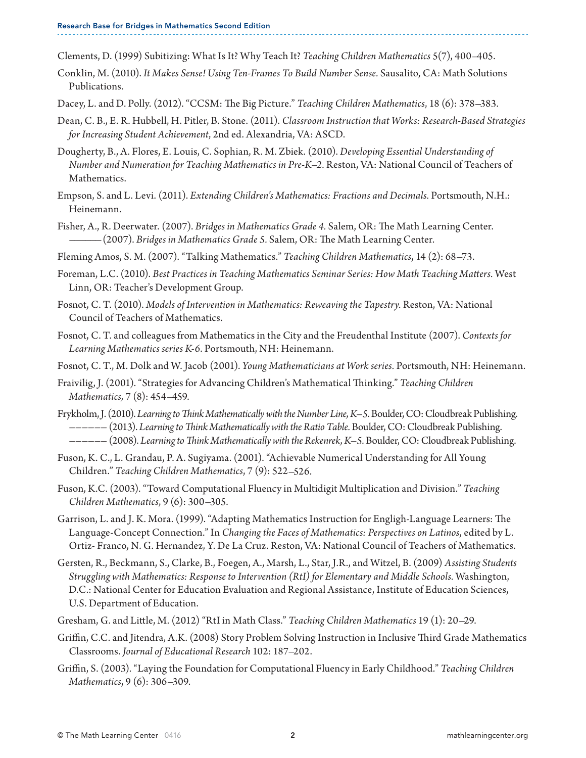Clements, D. (1999) Subitizing: What Is It? Why Teach It? *Teaching Children Mathematics* 5(7), 400–405.

- Conklin, M. (2010). *It Makes Sense! Using Ten-Frames To Build Number Sense.* Sausalito, CA: Math Solutions Publications.
- Dacey, L. and D. Polly. (2012). "CCSM: The Big Picture." *Teaching Children Mathematics*, 18 (6): 378–383.
- Dean, C. B., E. R. Hubbell, H. Pitler, B. Stone. (2011). *Classroom Instruction that Works: Research-Based Strategies for Increasing Student Achievement*, 2nd ed. Alexandria, VA: ASCD.
- Dougherty, B., A. Flores, E. Louis, C. Sophian, R. M. Zbiek. (2010). *Developing Essential Understanding of Number and Numeration for Teaching Mathematics in Pre-K–2.* Reston, VA: National Council of Teachers of Mathematics.
- Empson, S. and L. Levi. (2011). *Extending Children's Mathematics: Fractions and Decimals.* Portsmouth, N.H.: Heinemann.
- Fisher, A., R. Deerwater. (2007). *Bridges in Mathematics Grade 4.* Salem, OR: The Math Learning Center. –––––– (2007). *Bridges in Mathematics Grade 5.* Salem, OR: The Math Learning Center.
- Fleming Amos, S. M. (2007). "Talking Mathematics." *Teaching Children Mathematics*, 14 (2): 68–73.
- Foreman, L.C. (2010). *Best Practices in Teaching Mathematics Seminar Series: How Math Teaching Matters.* West Linn, OR: Teacher's Development Group.
- Fosnot, C. T. (2010). *Models of Intervention in Mathematics: Reweaving the Tapestry.* Reston, VA: National Council of Teachers of Mathematics.
- Fosnot, C. T. and colleagues from Mathematics in the City and the Freudenthal Institute (2007). *Contexts for Learning Mathematics series K-6*. Portsmouth, NH: Heinemann.
- Fosnot, C. T., M. Dolk and W. Jacob (2001). *Young Mathematicians at Work series.* Portsmouth, NH: Heinemann.
- Fraivilig, J. (2001). "Strategies for Advancing Children's Mathematical Thinking." *Teaching Children Mathematics,* 7 (8): 454–459.
- Frykholm, J. (2010). *Learning to Think Mathematically with the Number Line, K–5*. Boulder, CO: Cloudbreak Publishing. –––––– (2013). *Learning to Think Mathematically with the Ratio Table.* Boulder, CO: Cloudbreak Publishing.
	- –––––– (2008). *Learning to Think Mathematically with the Rekenrek, K–5.* Boulder, CO: Cloudbreak Publishing.
- Fuson, K. C., L. Grandau, P. A. Sugiyama. (2001). "Achievable Numerical Understanding for All Young Children." *Teaching Children Mathematics*, 7 (9): 522–526.
- Fuson, K.C. (2003). "Toward Computational Fluency in Multidigit Multiplication and Division." *Teaching Children Mathematics*, 9 (6): 300–305.
- Garrison, L. and J. K. Mora. (1999). "Adapting Mathematics Instruction for Engligh-Language Learners: The Language-Concept Connection." In *Changing the Faces of Mathematics: Perspectives on Latinos*, edited by L. Ortiz- Franco, N. G. Hernandez, Y. De La Cruz. Reston, VA: National Council of Teachers of Mathematics.
- Gersten, R., Beckmann, S., Clarke, B., Foegen, A., Marsh, L., Star, J.R., and Witzel, B. (2009) *Assisting Students Struggling with Mathematics: Response to Intervention (RtI) for Elementary and Middle Schools.* Washington, D.C.: National Center for Education Evaluation and Regional Assistance, Institute of Education Sciences, U.S. Department of Education.
- Gresham, G. and Little, M. (2012) "RtI in Math Class." *Teaching Children Mathematics* 19 (1): 20–29.
- Griffin, C.C. and Jitendra, A.K. (2008) Story Problem Solving Instruction in Inclusive Third Grade Mathematics Classrooms. *Journal of Educational Research* 102: 187–202.
- Griffin, S. (2003). "Laying the Foundation for Computational Fluency in Early Childhood." *Teaching Children Mathematics*, 9 (6): 306–309.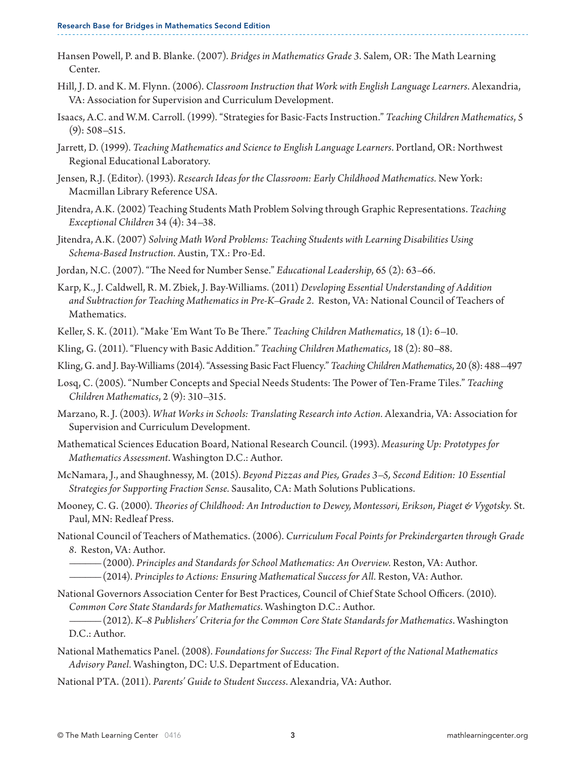- Hansen Powell, P. and B. Blanke. (2007). *Bridges in Mathematics Grade 3*. Salem, OR: The Math Learning Center.
- Hill, J. D. and K. M. Flynn. (2006). *Classroom Instruction that Work with English Language Learners*. Alexandria, VA: Association for Supervision and Curriculum Development.
- Isaacs, A.C. and W.M. Carroll. (1999). "Strategies for Basic-Facts Instruction." *Teaching Children Mathematics*, 5 (9): 508–515.
- Jarrett, D. (1999). *Teaching Mathematics and Science to English Language Learners*. Portland, OR: Northwest Regional Educational Laboratory.
- Jensen, R.J. (Editor). (1993). *Research Ideas for the Classroom: Early Childhood Mathematics.* New York: Macmillan Library Reference USA.
- Jitendra, A.K. (2002) Teaching Students Math Problem Solving through Graphic Representations. *Teaching Exceptional Children* 34 (4): 34–38.
- Jitendra, A.K. (2007) *Solving Math Word Problems: Teaching Students with Learning Disabilities Using Schema-Based Instruction.* Austin, TX.: Pro-Ed.
- Jordan, N.C. (2007). "The Need for Number Sense." *Educational Leadership*, 65 (2): 63–66.
- Karp, K., J. Caldwell, R. M. Zbiek, J. Bay-Williams. (2011) *Developing Essential Understanding of Addition and Subtraction for Teaching Mathematics in Pre-K–Grade 2.* Reston, VA: National Council of Teachers of Mathematics.
- Keller, S. K. (2011). "Make 'Em Want To Be There." *Teaching Children Mathematics*, 18 (1): 6–10.

Kling, G. (2011). "Fluency with Basic Addition." *Teaching Children Mathematics*, 18 (2): 80–88.

Kling, G. and J. Bay-Williams (2014). "Assessing Basic Fact Fluency." *Teaching Children Mathematics*, 20 (8): 488–497

- Losq, C. (2005). "Number Concepts and Special Needs Students: The Power of Ten-Frame Tiles." *Teaching Children Mathematics*, 2 (9): 310–315.
- Marzano, R. J. (2003). *What Works in Schools: Translating Research into Action.* Alexandria, VA: Association for Supervision and Curriculum Development.
- Mathematical Sciences Education Board, National Research Council. (1993). *Measuring Up: Prototypes for Mathematics Assessment*. Washington D.C.: Author.
- McNamara, J., and Shaughnessy, M. (2015). *Beyond Pizzas and Pies, Grades 3–5, Second Edition: 10 Essential Strategies for Supporting Fraction Sense.* Sausalito, CA: Math Solutions Publications.
- Mooney, C. G. (2000). *Theories of Childhood: An Introduction to Dewey, Montessori, Erikson, Piaget & Vygotsky*. St. Paul, MN: Redleaf Press.
- National Council of Teachers of Mathematics. (2006). *Curriculum Focal Points for Prekindergarten through Grade 8*. Reston, VA: Author.
	- –––––– (2000). *Principles and Standards for School Mathematics: An Overview.* Reston, VA: Author. –––––– (2014). *Principles to Actions: Ensuring Mathematical Success for All.* Reston, VA: Author.
- National Governors Association Center for Best Practices, Council of Chief State School Officers. (2010). *Common Core State Standards for Mathematics*. Washington D.C.: Author.

–––––– (2012). *K–8 Publishers' Criteria for the Common Core State Standards for Mathematics*. Washington D.C.: Author.

- National Mathematics Panel. (2008). *Foundations for Success: The Final Report of the National Mathematics Advisory Panel.* Washington, DC: U.S. Department of Education.
- National PTA. (2011). *Parents' Guide to Student Success*. Alexandria, VA: Author.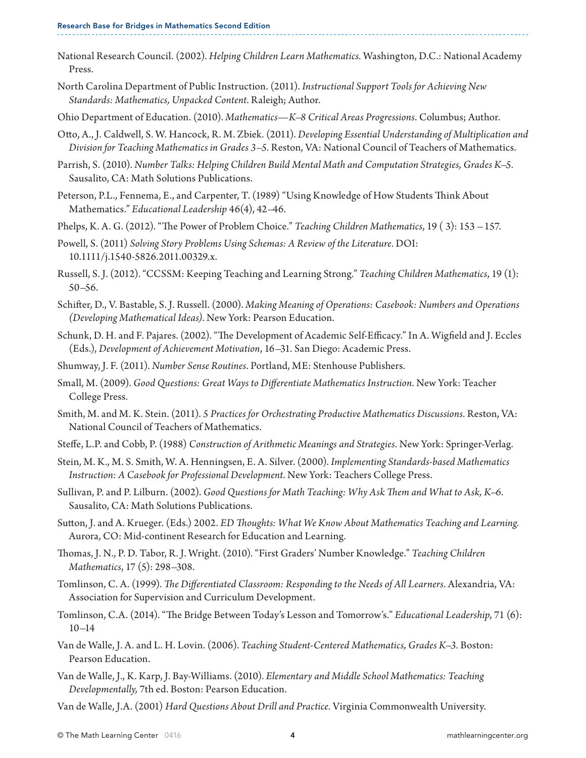- National Research Council. (2002). *Helping Children Learn Mathematics.* Washington, D.C.: National Academy Press.
- North Carolina Department of Public Instruction. (2011). *Instructional Support Tools for Achieving New Standards: Mathematics, Unpacked Content*. Raleigh; Author.
- Ohio Department of Education. (2010). *Mathematics—K–8 Critical Areas Progressions*. Columbus; Author.
- Otto, A., J. Caldwell, S. W. Hancock, R. M. Zbiek*.* (2011). *Developing Essential Understanding of Multiplication and Division for Teaching Mathematics in Grades 3–5.* Reston, VA: National Council of Teachers of Mathematics.
- Parrish, S. (2010). *Number Talks: Helping Children Build Mental Math and Computation Strategies, Grades K–5.* Sausalito, CA: Math Solutions Publications.
- Peterson, P.L., Fennema, E., and Carpenter, T. (1989) "Using Knowledge of How Students Think About Mathematics." *Educational Leadership* 46(4), 42–46.
- Phelps, K. A. G. (2012). "The Power of Problem Choice." *Teaching Children Mathematics*, 19 ( 3): 153 157.
- Powell, S. (2011) *Solving Story Problems Using Schemas: A Review of the Literature.* DOI: 10.1111/j.1540-5826.2011.00329.x.
- Russell, S. J. (2012). "CCSSM: Keeping Teaching and Learning Strong." *Teaching Children Mathematics*, 19 (1): 50–56.
- Schifter, D., V. Bastable, S. J. Russell. (2000). *Making Meaning of Operations: Casebook: Numbers and Operations (Developing Mathematical Ideas)*. New York: Pearson Education.
- Schunk, D. H. and F. Pajares. (2002). "The Development of Academic Self-Efficacy." In A. Wigfield and J. Eccles (Eds.), *Development of Achievement Motivation*, 16–31. San Diego: Academic Press.
- Shumway, J. F. (2011). *Number Sense Routines*. Portland, ME: Stenhouse Publishers.
- Small, M. (2009). *Good Questions: Great Ways to Differentiate Mathematics Instruction*. New York: Teacher College Press.
- Smith, M. and M. K. Stein. (2011). *5 Practices for Orchestrating Productive Mathematics Discussions.* Reston, VA: National Council of Teachers of Mathematics.
- Steffe, L.P. and Cobb, P. (1988) *Construction of Arithmetic Meanings and Strategies.* New York: Springer-Verlag.
- Stein, M. K., M. S. Smith, W. A. Henningsen, E. A. Silver. (2000). *Implementing Standards-based Mathematics Instruction: A Casebook for Professional Development*. New York: Teachers College Press.
- Sullivan, P. and P. Lilburn. (2002). *Good Questions for Math Teaching: Why Ask Them and What to Ask, K–6*. Sausalito, CA: Math Solutions Publications.
- Sutton, J. and A. Krueger. (Eds.) 2002. *ED Thoughts: What We Know About Mathematics Teaching and Learning.*  Aurora, CO: Mid-continent Research for Education and Learning.
- Thomas, J. N., P. D. Tabor, R. J. Wright. (2010). "First Graders' Number Knowledge." *Teaching Children Mathematics*, 17 (5): 298–308.
- Tomlinson, C. A. (1999). *The Differentiated Classroom: Responding to the Needs of All Learners*. Alexandria, VA: Association for Supervision and Curriculum Development.
- Tomlinson, C.A. (2014). "The Bridge Between Today's Lesson and Tomorrow's." *Educational Leadership*, 71 (6): 10–14
- Van de Walle, J. A. and L. H. Lovin. (2006). *Teaching Student-Centered Mathematics, Grades K–3.* Boston: Pearson Education.
- Van de Walle, J., K. Karp, J. Bay-Williams. (2010). *Elementary and Middle School Mathematics: Teaching Developmentally,* 7th ed. Boston: Pearson Education.
- Van de Walle, J.A. (2001) *Hard Questions About Drill and Practice.* Virginia Commonwealth University.